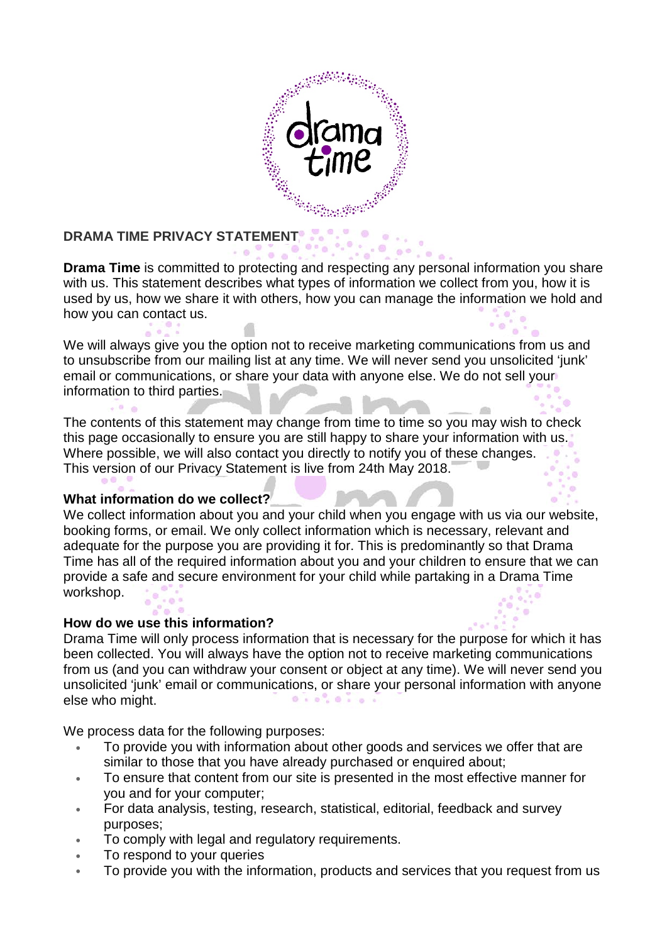

#### **DRAMA TIME PRIVACY STATEMENT**

 $= 0$ 

 $\mathbb{R}$ **Drama Time** is committed to protecting and respecting any personal information you share with us. This statement describes what types of information we collect from you, how it is used by us, how we share it with others, how you can manage the information we hold and how you can contact us.

We will always give you the option not to receive marketing communications from us and to unsubscribe from our mailing list at any time. We will never send you unsolicited 'junk' email or communications, or share your data with anyone else. We do not sell your information to third parties.

The contents of this statement may change from time to time so you may wish to check this page occasionally to ensure you are still happy to share your information with us. Where possible, we will also contact you directly to notify you of these changes. This version of our Privacy Statement is live from 24th May 2018.

# **What information do we collect?**

We collect information about you and your child when you engage with us via our website, booking forms, or email. We only collect information which is necessary, relevant and adequate for the purpose you are providing it for. This is predominantly so that Drama Time has all of the required information about you and your children to ensure that we can provide a safe and secure environment for your child while partaking in a Drama Time workshop.

# **How do we use this information?**

Drama Time will only process information that is necessary for the purpose for which it has been collected. You will always have the option not to receive marketing communications from us (and you can withdraw your consent or object at any time). We will never send you unsolicited 'junk' email or communications, or share your personal information with anyone  $0 + 0$ ,  $0 + 0$ else who might.

We process data for the following purposes:

- To provide you with information about other goods and services we offer that are similar to those that you have already purchased or enquired about;
- To ensure that content from our site is presented in the most effective manner for you and for your computer;
- For data analysis, testing, research, statistical, editorial, feedback and survey purposes;
- To comply with legal and regulatory requirements.
- To respond to your queries
- To provide you with the information, products and services that you request from us